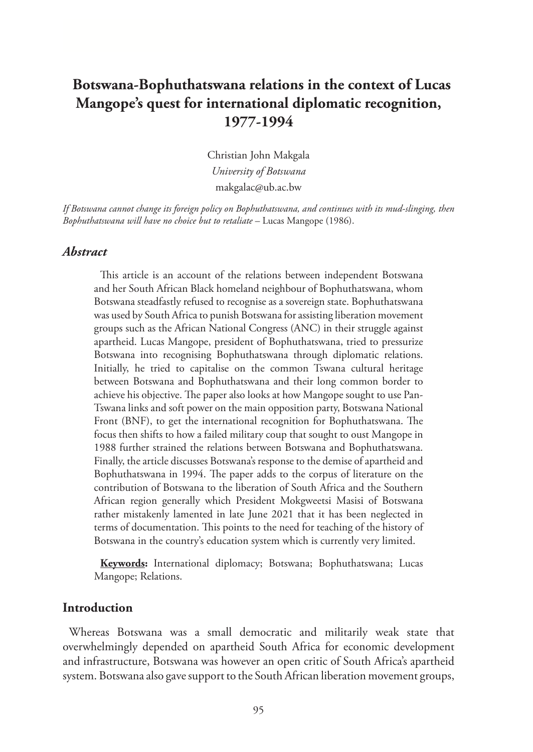# **Botswana-Bophuthatswana relations in the context of Lucas Mangope's quest for international diplomatic recognition, 1977-1994**

Christian John Makgala *University of Botswana* makgalac@ub.ac.bw

*If Botswana cannot change its foreign policy on Bophuthatswana, and continues with its mud-slinging, then Bophuthatswana will have no choice but to retaliate* – Lucas Mangope (1986).

#### *Abstract*

This article is an account of the relations between independent Botswana and her South African Black homeland neighbour of Bophuthatswana, whom Botswana steadfastly refused to recognise as a sovereign state. Bophuthatswana was used by South Africa to punish Botswana for assisting liberation movement groups such as the African National Congress (ANC) in their struggle against apartheid. Lucas Mangope, president of Bophuthatswana, tried to pressurize Botswana into recognising Bophuthatswana through diplomatic relations. Initially, he tried to capitalise on the common Tswana cultural heritage between Botswana and Bophuthatswana and their long common border to achieve his objective. The paper also looks at how Mangope sought to use Pan-Tswana links and soft power on the main opposition party, Botswana National Front (BNF), to get the international recognition for Bophuthatswana. The focus then shifts to how a failed military coup that sought to oust Mangope in 1988 further strained the relations between Botswana and Bophuthatswana. Finally, the article discusses Botswana's response to the demise of apartheid and Bophuthatswana in 1994. The paper adds to the corpus of literature on the contribution of Botswana to the liberation of South Africa and the Southern African region generally which President Mokgweetsi Masisi of Botswana rather mistakenly lamented in late June 2021 that it has been neglected in terms of documentation. This points to the need for teaching of the history of Botswana in the country's education system which is currently very limited.

**Keywords:** International diplomacy; Botswana; Bophuthatswana; Lucas Mangope; Relations.

### **Introduction**

Whereas Botswana was a small democratic and militarily weak state that overwhelmingly depended on apartheid South Africa for economic development and infrastructure, Botswana was however an open critic of South Africa's apartheid system. Botswana also gave support to the South African liberation movement groups,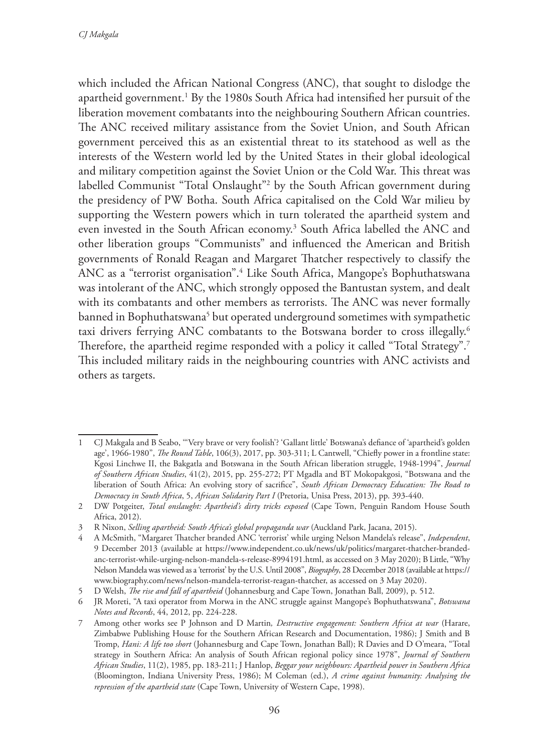which included the African National Congress (ANC), that sought to dislodge the apartheid government.<sup>1</sup> By the 1980s South Africa had intensified her pursuit of the liberation movement combatants into the neighbouring Southern African countries. The ANC received military assistance from the Soviet Union, and South African government perceived this as an existential threat to its statehood as well as the interests of the Western world led by the United States in their global ideological and military competition against the Soviet Union or the Cold War. This threat was labelled Communist "Total Onslaught"2 by the South African government during the presidency of PW Botha. South Africa capitalised on the Cold War milieu by supporting the Western powers which in turn tolerated the apartheid system and even invested in the South African economy.3 South Africa labelled the ANC and other liberation groups "Communists" and influenced the American and British governments of Ronald Reagan and Margaret Thatcher respectively to classify the ANC as a "terrorist organisation".4 Like South Africa, Mangope's Bophuthatswana was intolerant of the ANC, which strongly opposed the Bantustan system, and dealt with its combatants and other members as terrorists. The ANC was never formally banned in Bophuthatswana<sup>5</sup> but operated underground sometimes with sympathetic taxi drivers ferrying ANC combatants to the Botswana border to cross illegally.<sup>6</sup> Therefore, the apartheid regime responded with a policy it called "Total Strategy".<sup>7</sup> This included military raids in the neighbouring countries with ANC activists and others as targets.

<sup>1</sup> CJ Makgala and B Seabo, '''Very brave or very foolish'? 'Gallant little' Botswana's defiance of 'apartheid's golden age', 1966-1980", *The Round Table*, 106(3), 2017, pp. 303-311; L Cantwell, "Chiefly power in a frontline state: Kgosi Linchwe II, the Bakgatla and Botswana in the South African liberation struggle, 1948-1994", *Journal of Southern African Studies*, 41(2), 2015, pp. 255-272; PT Mgadla and BT Mokopakgosi, "Botswana and the liberation of South Africa: An evolving story of sacrifice", *South African Democracy Education: The Road to Democracy in South Africa*, 5, *African Solidarity Part I* (Pretoria, Unisa Press, 2013), pp. 393-440.

<sup>2</sup> DW Potgeiter, *Total onslaught: Apartheid's dirty tricks exposed* (Cape Town, Penguin Random House South Africa, 2012).

<sup>3</sup> R Nixon, *Selling apartheid: South Africa's global propaganda war* (Auckland Park, Jacana, 2015).

<sup>4</sup> A McSmith, "Margaret Thatcher branded ANC 'terrorist' while urging Nelson Mandela's release", *Independent*, 9 December 2013 (available at https://www.independent.co.uk/news/uk/politics/margaret-thatcher-brandedanc-terrorist-while-urging-nelson-mandela-s-release-8994191.html, as accessed on 3 May 2020); B Little, "Why Nelson Mandela was viewed as a 'terrorist' by the U.S. Until 2008", *Biography*, 28 December 2018 (available at https:// www.biography.com/news/nelson-mandela-terrorist-reagan-thatcher, as accessed on 3 May 2020).

<sup>5</sup> D Welsh, *The rise and fall of apartheid* (Johannesburg and Cape Town, Jonathan Ball, 2009), p. 512.

<sup>6</sup> JR Moreti, "A taxi operator from Morwa in the ANC struggle against Mangope's Bophuthatswana", *Botswana Notes and Records*, 44, 2012, pp. 224-228.

<sup>7</sup> Among other works see P Johnson and D Martin*, Destructive engagement: Southern Africa at war* (Harare, Zimbabwe Publishing House for the Southern African Research and Documentation, 1986); J Smith and B Tromp, *Hani: A life too short* (Johannesburg and Cape Town, Jonathan Ball); R Davies and D O'meara, "Total strategy in Southern Africa: An analysis of South African regional policy since 1978", *Journal of Southern African Studies*, 11(2), 1985, pp. 183-211; J Hanlop, *Beggar your neighbours: Apartheid power in Southern Africa* (Bloomington, Indiana University Press, 1986); M Coleman (ed.), *A crime against humanity: Analysing the repression of the apartheid state* (Cape Town, University of Western Cape, 1998).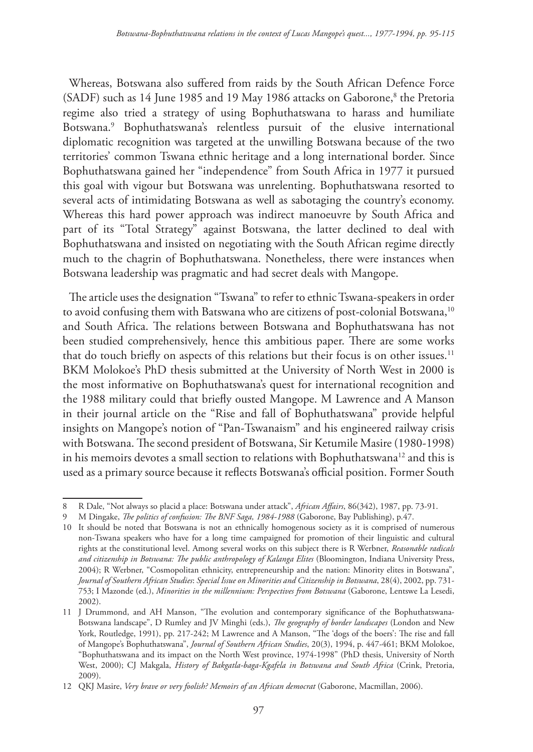Whereas, Botswana also suffered from raids by the South African Defence Force (SADF) such as 14 June 1985 and 19 May 1986 attacks on Gaborone,<sup>8</sup> the Pretoria regime also tried a strategy of using Bophuthatswana to harass and humiliate Botswana.9 Bophuthatswana's relentless pursuit of the elusive international diplomatic recognition was targeted at the unwilling Botswana because of the two territories' common Tswana ethnic heritage and a long international border. Since Bophuthatswana gained her "independence" from South Africa in 1977 it pursued this goal with vigour but Botswana was unrelenting. Bophuthatswana resorted to several acts of intimidating Botswana as well as sabotaging the country's economy. Whereas this hard power approach was indirect manoeuvre by South Africa and part of its "Total Strategy" against Botswana, the latter declined to deal with Bophuthatswana and insisted on negotiating with the South African regime directly much to the chagrin of Bophuthatswana. Nonetheless, there were instances when Botswana leadership was pragmatic and had secret deals with Mangope.

The article uses the designation "Tswana" to refer to ethnic Tswana-speakers in order to avoid confusing them with Batswana who are citizens of post-colonial Botswana,<sup>10</sup> and South Africa. The relations between Botswana and Bophuthatswana has not been studied comprehensively, hence this ambitious paper. There are some works that do touch briefly on aspects of this relations but their focus is on other issues.<sup>11</sup> BKM Molokoe's PhD thesis submitted at the University of North West in 2000 is the most informative on Bophuthatswana's quest for international recognition and the 1988 military could that briefly ousted Mangope. M Lawrence and A Manson in their journal article on the "Rise and fall of Bophuthatswana" provide helpful insights on Mangope's notion of "Pan-Tswanaism" and his engineered railway crisis with Botswana. The second president of Botswana, Sir Ketumile Masire (1980-1998) in his memoirs devotes a small section to relations with Bophuthatswana<sup>12</sup> and this is used as a primary source because it reflects Botswana's official position. Former South

<sup>8</sup> R Dale, "Not always so placid a place: Botswana under attack", *African Affairs*, 86(342), 1987, pp. 73-91.

<sup>9</sup> M Dingake, *The politics of confusion: The BNF Saga, 1984-1988* (Gaborone, Bay Publishing), p.47.

<sup>10</sup> It should be noted that Botswana is not an ethnically homogenous society as it is comprised of numerous non-Tswana speakers who have for a long time campaigned for promotion of their linguistic and cultural rights at the constitutional level. Among several works on this subject there is R Werbner, *Reasonable radicals and citizenship in Botswana: The public anthropology of Kalanga Elites* (Bloomington, Indiana University Press, 2004); R Werbner, "Cosmopolitan ethnicity, entrepreneurship and the nation: Minority elites in Botswana", *Journal of Southern African Studies*: *Special Issue on Minorities and Citizenship in Botswana*, 28(4), 2002, pp. 731- 753; I Mazonde (ed.), *Minorities in the millennium: Perspectives from Botswana* (Gaborone, Lentswe La Lesedi, 2002).

<sup>11</sup> J Drummond, and AH Manson, "The evolution and contemporary significance of the Bophuthatswana-Botswana landscape", D Rumley and JV Minghi (eds.), *The geography of border landscapes* (London and New York, Routledge, 1991), pp. 217-242; M Lawrence and A Manson, "The 'dogs of the boers': The rise and fall of Mangope's Bophuthatswana", *Journal of Southern African Studies*, 20(3), 1994, p. 447-461; BKM Molokoe, "Bophuthatswana and its impact on the North West province, 1974-1998" (PhD thesis, University of North West, 2000); CJ Makgala, *History of Bakgatla-baga-Kgafela in Botswana and South Africa* (Crink, Pretoria, 2009).

<sup>12</sup> QKJ Masire, *Very brave or very foolish? Memoirs of an African democrat* (Gaborone, Macmillan, 2006).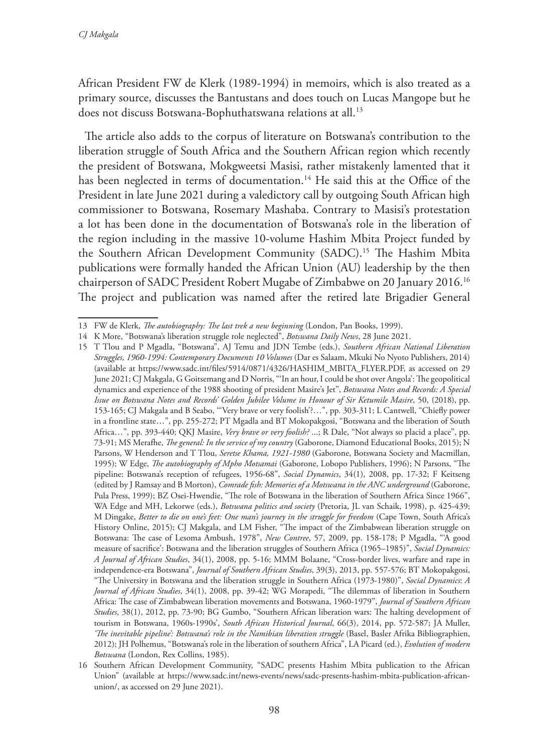African President FW de Klerk (1989-1994) in memoirs, which is also treated as a primary source, discusses the Bantustans and does touch on Lucas Mangope but he does not discuss Botswana-Bophuthatswana relations at all.<sup>13</sup>

The article also adds to the corpus of literature on Botswana's contribution to the liberation struggle of South Africa and the Southern African region which recently the president of Botswana, Mokgweetsi Masisi, rather mistakenly lamented that it has been neglected in terms of documentation.<sup>14</sup> He said this at the Office of the President in late June 2021 during a valedictory call by outgoing South African high commissioner to Botswana, Rosemary Mashaba. Contrary to Masisi's protestation a lot has been done in the documentation of Botswana's role in the liberation of the region including in the massive 10-volume Hashim Mbita Project funded by the Southern African Development Community (SADC).<sup>15</sup> The Hashim Mbita publications were formally handed the African Union (AU) leadership by the then chairperson of SADC President Robert Mugabe of Zimbabwe on 20 January 2016.16 The project and publication was named after the retired late Brigadier General

<sup>13</sup> FW de Klerk, *The autobiography: The last trek a new beginning* (London, Pan Books, 1999).

<sup>14</sup> K More, "Botswana's liberation struggle role neglected", *Botswana Daily News*, 28 June 2021.

<sup>15</sup> T Tlou and P Mgadla, "Botswana", AJ Temu and JDN Tembe (eds.), *Southern African National Liberation Struggles, 1960-1994: Contemporary Documents 10 Volumes* (Dar es Salaam, Mkuki No Nyoto Publishers, 2014) (available at https://www.sadc.int/files/5914/0871/4326/HASHIM\_MBITA\_FLYER.PDF, as accessed on 29 June 2021; CJ Makgala, G Goitsemang and D Norris, "'In an hour, I could be shot over Angola': The geopolitical dynamics and experience of the 1988 shooting of president Masire's Jet", *Botswana Notes and Records: A Special Issue on Botswana Notes and Records' Golden Jubilee Volume in Honour of Sir Ketumile Masire*, 50, (2018), pp. 153-165; CJ Makgala and B Seabo, '''Very brave or very foolish'?…", pp. 303-311; L Cantwell, "Chiefly power in a frontline state…", pp. 255-272; PT Mgadla and BT Mokopakgosi, "Botswana and the liberation of South Africa…", pp. 393-440; QKJ Masire, *Very brave or very foolish?* ...; R Dale, "Not always so placid a place", pp. 73-91; MS Merafhe, *The general: In the service of my country* (Gaborone, Diamond Educational Books, 2015); N Parsons, W Henderson and T Tlou, *Seretse Khama, 1921-1980* (Gaborone, Botswana Society and Macmillan, 1995); W Edge, *The autobiography of Mpho Motsamai* (Gaborone, Lobopo Publishers, 1996); N Parsons, "The pipeline: Botswana's reception of refugees, 1956-68", *Social Dynamics*, 34(1), 2008, pp. 17-32; F Keitseng (edited by J Ramsay and B Morton), *Comrade fish: Memories of a Motswana in the ANC underground* (Gaborone, Pula Press, 1999); BZ Osei-Hwendie, "The role of Botswana in the liberation of Southern Africa Since 1966", WA Edge and MH, Lekorwe (eds.), *Botswana politics and society* (Pretoria, JL van Schaik, 1998), p. 425-439; M Dingake, *Better to die on one's feet: One man's journey in the struggle for freedom* (Cape Town, South Africa's History Online, 2015); CJ Makgala, and LM Fisher, "The impact of the Zimbabwean liberation struggle on Botswana: The case of Lesoma Ambush, 1978", *New Contree*, 57, 2009, pp. 158-178; P Mgadla, "'A good measure of sacrifice': Botswana and the liberation struggles of Southern Africa (1965–1985)", *Social Dynamics: A Journal of African Studies*, 34(1), 2008, pp. 5-16; MMM Bolaane, "Cross-border lives, warfare and rape in independence-era Botswana", *Journal of Southern African Studies*, 39(3), 2013, pp. 557-576; BT Mokopakgosi, "The University in Botswana and the liberation struggle in Southern Africa (1973-1980)", *Social Dynamics*: *A Journal of African Studies*, 34(1), 2008, pp. 39-42; WG Morapedi, "The dilemmas of liberation in Southern Africa: The case of Zimbabwean liberation movements and Botswana, 1960-1979", *Journal of Southern African Studies*, 38(1), 2012, pp. 73-90; BG Gumbo, "Southern African liberation wars: The halting development of tourism in Botswana, 1960s-1990s', *South African Historical Journal*, 66(3), 2014, pp. 572-587; JA Muller, *'The inevitable pipeline': Botswana's role in the Namibian liberation struggle* (Basel, Basler Afrika Bibliographien, 2012); JH Polhemus, "Botswana's role in the liberation of southern Africa", LA Picard (ed.), *Evolution of modern Botswana* (London, Rex Collins, 1985).

<sup>16</sup> Southern African Development Community, "SADC presents Hashim Mbita publication to the African Union" (available at https://www.sadc.int/news-events/news/sadc-presents-hashim-mbita-publication-africanunion/, as accessed on 29 June 2021).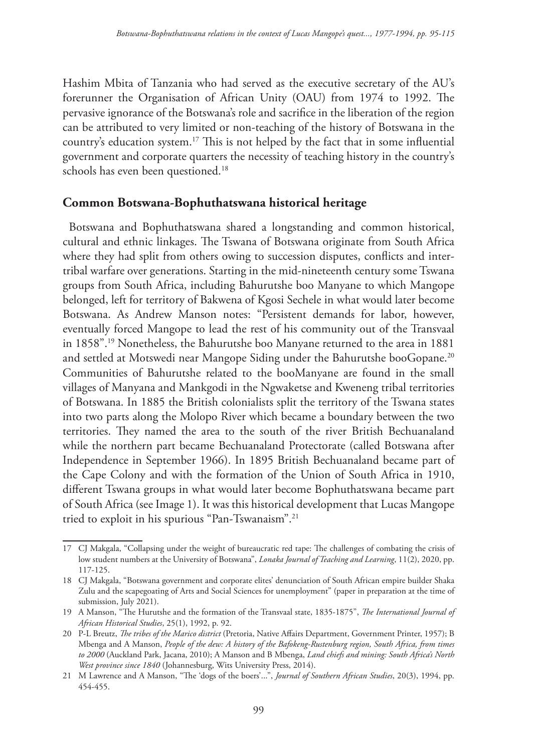Hashim Mbita of Tanzania who had served as the executive secretary of the AU's forerunner the Organisation of African Unity (OAU) from 1974 to 1992. The pervasive ignorance of the Botswana's role and sacrifice in the liberation of the region can be attributed to very limited or non-teaching of the history of Botswana in the country's education system.17 This is not helped by the fact that in some influential government and corporate quarters the necessity of teaching history in the country's schools has even been questioned.<sup>18</sup>

### **Common Botswana-Bophuthatswana historical heritage**

Botswana and Bophuthatswana shared a longstanding and common historical, cultural and ethnic linkages. The Tswana of Botswana originate from South Africa where they had split from others owing to succession disputes, conflicts and intertribal warfare over generations. Starting in the mid-nineteenth century some Tswana groups from South Africa, including Bahurutshe boo Manyane to which Mangope belonged, left for territory of Bakwena of Kgosi Sechele in what would later become Botswana. As Andrew Manson notes: "Persistent demands for labor, however, eventually forced Mangope to lead the rest of his community out of the Transvaal in 1858".19 Nonetheless, the Bahurutshe boo Manyane returned to the area in 1881 and settled at Motswedi near Mangope Siding under the Bahurutshe booGopane.<sup>20</sup> Communities of Bahurutshe related to the booManyane are found in the small villages of Manyana and Mankgodi in the Ngwaketse and Kweneng tribal territories of Botswana. In 1885 the British colonialists split the territory of the Tswana states into two parts along the Molopo River which became a boundary between the two territories. They named the area to the south of the river British Bechuanaland while the northern part became Bechuanaland Protectorate (called Botswana after Independence in September 1966). In 1895 British Bechuanaland became part of the Cape Colony and with the formation of the Union of South Africa in 1910, different Tswana groups in what would later become Bophuthatswana became part of South Africa (see Image 1). It was this historical development that Lucas Mangope tried to exploit in his spurious "Pan-Tswanaism".21

<sup>17</sup> CJ Makgala, "Collapsing under the weight of bureaucratic red tape: The challenges of combating the crisis of low student numbers at the University of Botswana", *Lonaka Journal of Teaching and Learning*, 11(2), 2020, pp. 117-125.

<sup>18</sup> CJ Makgala, "Botswana government and corporate elites' denunciation of South African empire builder Shaka Zulu and the scapegoating of Arts and Social Sciences for unemployment" (paper in preparation at the time of submission, July 2021).

<sup>19</sup> A Manson, "The Hurutshe and the formation of the Transvaal state, 1835-1875", *The International Journal of African Historical Studies*, 25(1), 1992, p. 92.

<sup>20</sup> P-L Breutz, *The tribes of the Marico district* (Pretoria, Native Affairs Department, Government Printer, 1957); B Mbenga and A Manson, *People of the dew: A history of the Bafokeng-Rustenburg region, South Africa, from times to 2000* (Auckland Park, Jacana, 2010); A Manson and B Mbenga, *Land chiefs and mining: South Africa's North West province since 1840* (Johannesburg, Wits University Press, 2014).

<sup>21</sup> M Lawrence and A Manson, "The 'dogs of the boers'...", *Journal of Southern African Studies*, 20(3), 1994, pp. 454-455.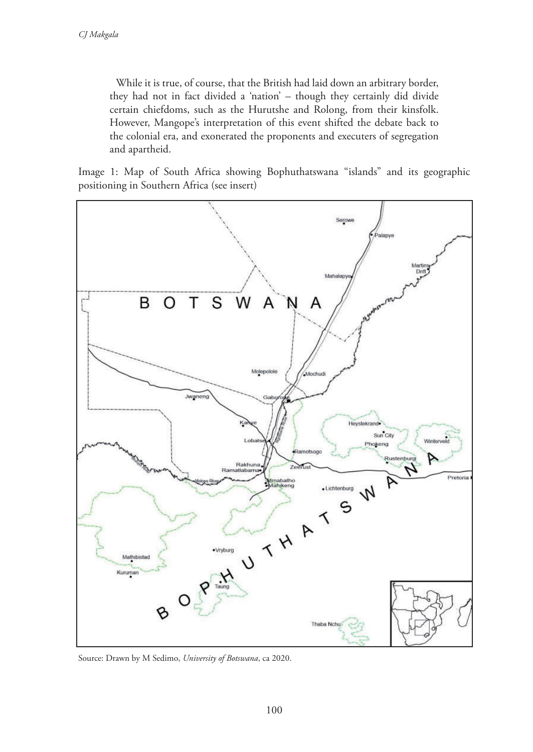While it is true, of course, that the British had laid down an arbitrary border, they had not in fact divided a 'nation' – though they certainly did divide certain chiefdoms, such as the Hurutshe and Rolong, from their kinsfolk. However, Mangope's interpretation of this event shifted the debate back to the colonial era, and exonerated the proponents and executers of segregation and apartheid.

Image 1: Map of South Africa showing Bophuthatswana "islands" and its geographic positioning in Southern Africa (see insert)



Source: Drawn by M Sedimo, *University of Botswana*, ca 2020.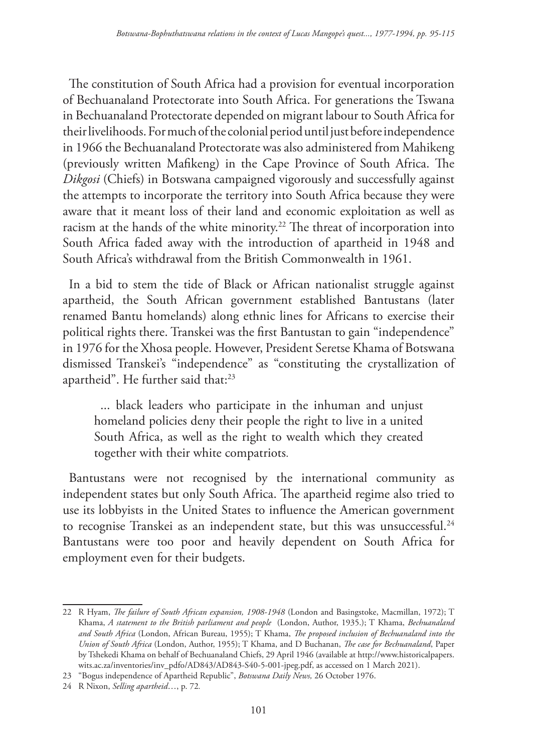The constitution of South Africa had a provision for eventual incorporation of Bechuanaland Protectorate into South Africa. For generations the Tswana in Bechuanaland Protectorate depended on migrant labour to South Africa for their livelihoods. For much of the colonial period until just before independence in 1966 the Bechuanaland Protectorate was also administered from Mahikeng (previously written Mafikeng) in the Cape Province of South Africa. The *Dikgosi* (Chiefs) in Botswana campaigned vigorously and successfully against the attempts to incorporate the territory into South Africa because they were aware that it meant loss of their land and economic exploitation as well as racism at the hands of the white minority.<sup>22</sup> The threat of incorporation into South Africa faded away with the introduction of apartheid in 1948 and South Africa's withdrawal from the British Commonwealth in 1961.

In a bid to stem the tide of Black or African nationalist struggle against apartheid, the South African government established Bantustans (later renamed Bantu homelands) along ethnic lines for Africans to exercise their political rights there. Transkei was the first Bantustan to gain "independence" in 1976 for the Xhosa people. However, President Seretse Khama of Botswana dismissed Transkei's "independence" as "constituting the crystallization of apartheid". He further said that:<sup>23</sup>

... black leaders who participate in the inhuman and unjust homeland policies deny their people the right to live in a united South Africa, as well as the right to wealth which they created together with their white compatriots.

Bantustans were not recognised by the international community as independent states but only South Africa. The apartheid regime also tried to use its lobbyists in the United States to influence the American government to recognise Transkei as an independent state, but this was unsuccessful.<sup>24</sup> Bantustans were too poor and heavily dependent on South Africa for employment even for their budgets.

<sup>22</sup> R Hyam, *The failure of South African expansion, 1908-1948* (London and Basingstoke, Macmillan, 1972); T Khama, *A statement to the British parliament and people* (London, Author, 1935.); T Khama, *Bechuanaland and South Africa* (London, African Bureau, 1955); T Khama, *The proposed inclusion of Bechuanaland into the Union of South Africa* (London, Author, 1955); T Khama, and D Buchanan, *The case for Bechuanaland*, Paper by Tshekedi Khama on behalf of Bechuanaland Chiefs, 29 April 1946 (available at http://www.historicalpapers. wits.ac.za/inventories/inv\_pdfo/AD843/AD843-S40-5-001-jpeg.pdf, as accessed on 1 March 2021).

<sup>23</sup> "Bogus independence of Apartheid Republic", *Botswana Daily News,* 26 October 1976.

<sup>24</sup> R Nixon, *Selling apartheid*…, p. 72*.*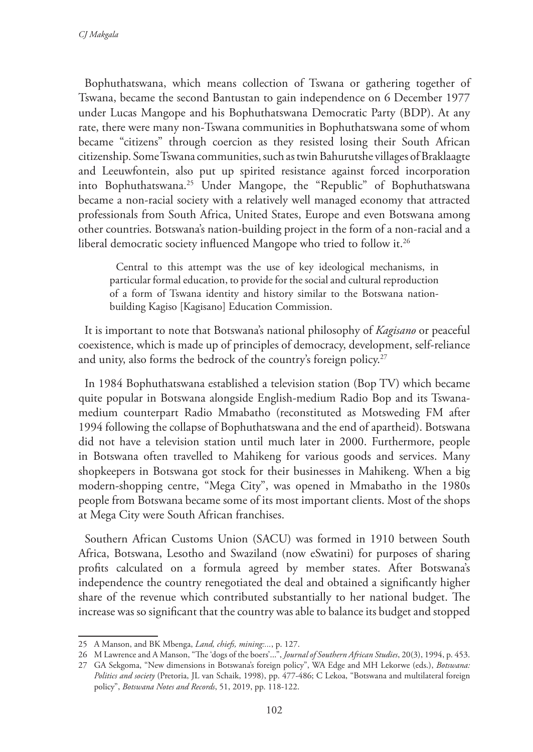Bophuthatswana, which means collection of Tswana or gathering together of Tswana, became the second Bantustan to gain independence on 6 December 1977 under Lucas Mangope and his Bophuthatswana Democratic Party (BDP). At any rate, there were many non-Tswana communities in Bophuthatswana some of whom became "citizens" through coercion as they resisted losing their South African citizenship. Some Tswana communities, such as twin Bahurutshe villages of Braklaagte and Leeuwfontein, also put up spirited resistance against forced incorporation into Bophuthatswana.25 Under Mangope, the "Republic" of Bophuthatswana became a non-racial society with a relatively well managed economy that attracted professionals from South Africa, United States, Europe and even Botswana among other countries. Botswana's nation-building project in the form of a non-racial and a liberal democratic society influenced Mangope who tried to follow it.<sup>26</sup>

Central to this attempt was the use of key ideological mechanisms, in particular formal education, to provide for the social and cultural reproduction of a form of Tswana identity and history similar to the Botswana nationbuilding Kagiso [Kagisano] Education Commission.

It is important to note that Botswana's national philosophy of *Kagisano* or peaceful coexistence, which is made up of principles of democracy, development, self-reliance and unity, also forms the bedrock of the country's foreign policy.<sup>27</sup>

In 1984 Bophuthatswana established a television station (Bop TV) which became quite popular in Botswana alongside English-medium Radio Bop and its Tswanamedium counterpart Radio Mmabatho (reconstituted as Motsweding FM after 1994 following the collapse of Bophuthatswana and the end of apartheid). Botswana did not have a television station until much later in 2000. Furthermore, people in Botswana often travelled to Mahikeng for various goods and services. Many shopkeepers in Botswana got stock for their businesses in Mahikeng. When a big modern-shopping centre, "Mega City", was opened in Mmabatho in the 1980s people from Botswana became some of its most important clients. Most of the shops at Mega City were South African franchises.

Southern African Customs Union (SACU) was formed in 1910 between South Africa, Botswana, Lesotho and Swaziland (now eSwatini) for purposes of sharing profits calculated on a formula agreed by member states. After Botswana's independence the country renegotiated the deal and obtained a significantly higher share of the revenue which contributed substantially to her national budget. The increase was so significant that the country was able to balance its budget and stopped

<sup>25</sup> A Manson, and BK Mbenga, *Land, chiefs, mining:...*, p. 127.

<sup>26</sup> M Lawrence and A Manson, "The 'dogs of the boers'...", *Journal of Southern African Studies*, 20(3), 1994, p. 453.

<sup>27</sup> GA Sekgoma, "New dimensions in Botswana's foreign policy", WA Edge and MH Lekorwe (eds.), *Botswana: Politics and society* (Pretoria, JL van Schaik, 1998), pp. 477-486; C Lekoa, "Botswana and multilateral foreign policy", *Botswana Notes and Records*, 51, 2019, pp. 118-122.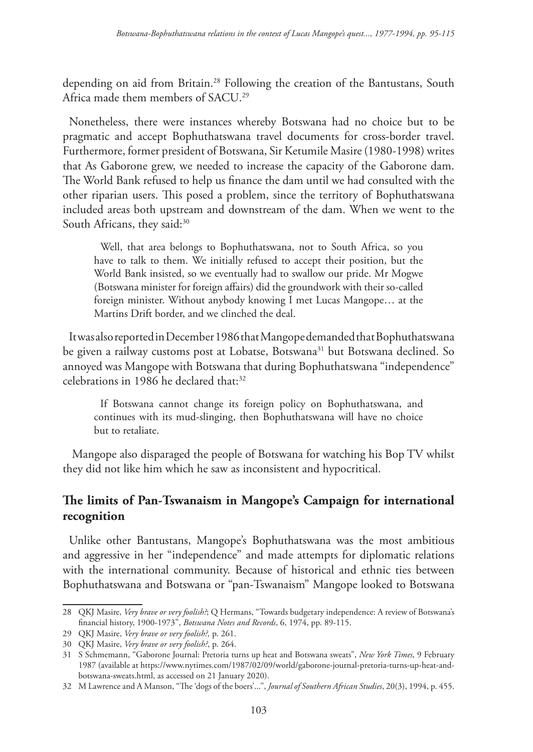depending on aid from Britain.28 Following the creation of the Bantustans, South Africa made them members of SACU.29

Nonetheless, there were instances whereby Botswana had no choice but to be pragmatic and accept Bophuthatswana travel documents for cross-border travel. Furthermore, former president of Botswana, Sir Ketumile Masire (1980-1998) writes that As Gaborone grew, we needed to increase the capacity of the Gaborone dam. The World Bank refused to help us finance the dam until we had consulted with the other riparian users. This posed a problem, since the territory of Bophuthatswana included areas both upstream and downstream of the dam. When we went to the South Africans, they said:<sup>30</sup>

Well, that area belongs to Bophuthatswana, not to South Africa, so you have to talk to them. We initially refused to accept their position, but the World Bank insisted, so we eventually had to swallow our pride. Mr Mogwe (Botswana minister for foreign affairs) did the groundwork with their so-called foreign minister. Without anybody knowing I met Lucas Mangope… at the Martins Drift border, and we clinched the deal.

It was also reported in December 1986 that Mangope demanded that Bophuthatswana be given a railway customs post at Lobatse, Botswana<sup>31</sup> but Botswana declined. So annoyed was Mangope with Botswana that during Bophuthatswana "independence" celebrations in 1986 he declared that:32

If Botswana cannot change its foreign policy on Bophuthatswana, and continues with its mud-slinging, then Bophuthatswana will have no choice but to retaliate.

 Mangope also disparaged the people of Botswana for watching his Bop TV whilst they did not like him which he saw as inconsistent and hypocritical.

### **The limits of Pan-Tswanaism in Mangope's Campaign for international recognition**

Unlike other Bantustans, Mangope's Bophuthatswana was the most ambitious and aggressive in her "independence" and made attempts for diplomatic relations with the international community. Because of historical and ethnic ties between Bophuthatswana and Botswana or "pan-Tswanaism" Mangope looked to Botswana

<sup>28</sup> QKJ Masire, *Very brave or very foolish?*; Q Hermans, "Towards budgetary independence: A review of Botswana's financial history, 1900-1973", *Botswana Notes and Records*, 6, 1974, pp. 89-115.

<sup>29</sup> QKJ Masire, *Very brave or very foolish?,* p. 261.

<sup>30</sup> QKJ Masire, *Very brave or very foolish?*, p. 264.

<sup>31</sup> S Schmemann, "Gaborone Journal: Pretoria turns up heat and Botswana sweats", *New York Times*, 9 February 1987 (available at https://www.nytimes.com/1987/02/09/world/gaborone-journal-pretoria-turns-up-heat-andbotswana-sweats.html, as accessed on 21 January 2020).

<sup>32</sup> M Lawrence and A Manson, "The 'dogs of the boers'...", *Journal of Southern African Studies*, 20(3), 1994, p. 455.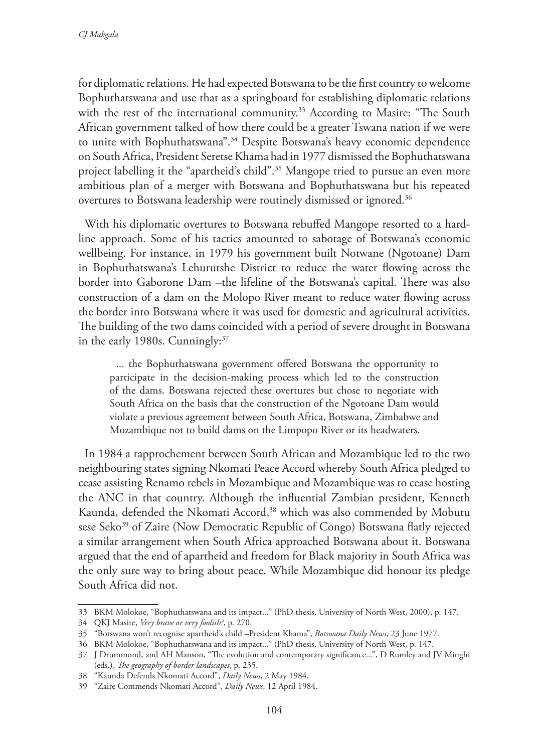for diplomatic relations. He had expected Botswana to be the first country to welcome Bophuthatswana and use that as a springboard for establishing diplomatic relations with the rest of the international community.<sup>33</sup> According to Masire: "The South African government talked of how there could be a greater Tswana nation if we were to unite with Bophuthatswana".<sup>34</sup> Despite Botswana's heavy economic dependence on South Africa, President Seretse Khama had in 1977 dismissed the Bophuthatswana project labelling it the "apartheid's child".35 Mangope tried to pursue an even more ambitious plan of a merger with Botswana and Bophuthatswana but his repeated overtures to Botswana leadership were routinely dismissed or ignored.<sup>36</sup>

With his diplomatic overtures to Botswana rebuffed Mangope resorted to a hardline approach. Some of his tactics amounted to sabotage of Botswana's economic wellbeing. For instance, in 1979 his government built Notwane (Ngotoane) Dam in Bophuthatswana's Lehurutshe District to reduce the water flowing across the border into Gaborone Dam –the lifeline of the Botswana's capital. There was also construction of a dam on the Molopo River meant to reduce water flowing across the border into Botswana where it was used for domestic and agricultural activities. The building of the two dams coincided with a period of severe drought in Botswana in the early 1980s. Cunningly:37

... the Bophuthatswana government offered Botswana the opportunity to participate in the decision-making process which led to the construction of the dams. Botswana rejected these overtures but chose to negotiate with South Africa on the basis that the construction of the Ngotoane Dam would violate a previous agreement between South Africa, Botswana, Zimbabwe and Mozambique not to build dams on the Limpopo River or its headwaters.

In 1984 a rapprochement between South African and Mozambique led to the two neighbouring states signing Nkomati Peace Accord whereby South Africa pledged to cease assisting Renamo rebels in Mozambique and Mozambique was to cease hosting the ANC in that country. Although the influential Zambian president, Kenneth Kaunda, defended the Nkomati Accord,<sup>38</sup> which was also commended by Mobutu sese Seko<sup>39</sup> of Zaire (Now Democratic Republic of Congo) Botswana flatly rejected a similar arrangement when South Africa approached Botswana about it. Botswana argued that the end of apartheid and freedom for Black majority in South Africa was the only sure way to bring about peace. While Mozambique did honour its pledge South Africa did not.

<sup>33</sup> BKM Molokoe, "Bophuthatswana and its impact..." (PhD thesis, University of North West, 2000), p. 147.

<sup>34</sup> QKJ Masire, *Very brave or very foolish?*, p. 270.

<sup>35</sup> "Botswana won't recognise apartheid's child –President Khama", *Botswana Daily News*, 23 June 1977.

<sup>36</sup> BKM Molokoe, "Bophuthatswana and its impact..." (PhD thesis, University of North West, p. 147.

<sup>37</sup> J Drummond, and AH Manson, "The evolution and contemporary significance...", D Rumley and JV Minghi (eds.), *The geography of border landscapes*, p. 235.

<sup>38</sup> "Kaunda Defends Nkomati Accord", *Daily News*, 2 May 1984.

<sup>39</sup> "Zaire Commends Nkomati Accord", *Daily News*, 12 April 1984.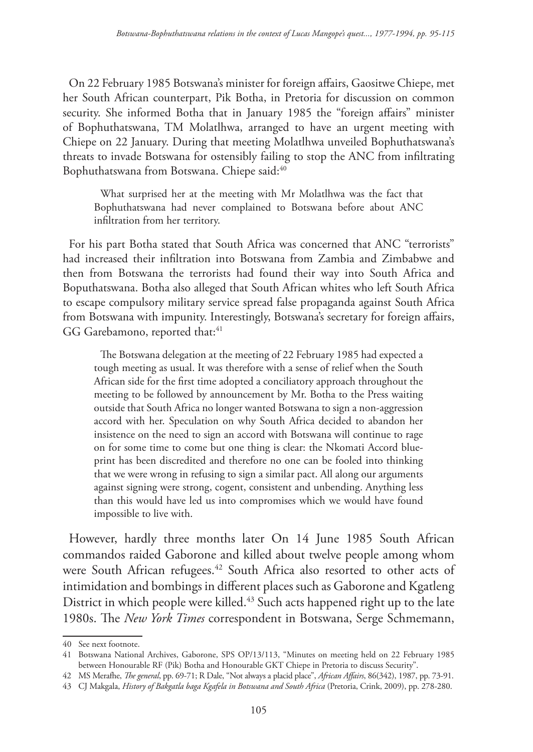On 22 February 1985 Botswana's minister for foreign affairs, Gaositwe Chiepe, met her South African counterpart, Pik Botha, in Pretoria for discussion on common security. She informed Botha that in January 1985 the "foreign affairs" minister of Bophuthatswana, TM Molatlhwa, arranged to have an urgent meeting with Chiepe on 22 January. During that meeting Molatlhwa unveiled Bophuthatswana's threats to invade Botswana for ostensibly failing to stop the ANC from infiltrating Bophuthatswana from Botswana. Chiepe said:40

What surprised her at the meeting with Mr Molatlhwa was the fact that Bophuthatswana had never complained to Botswana before about ANC infiltration from her territory.

For his part Botha stated that South Africa was concerned that ANC "terrorists" had increased their infiltration into Botswana from Zambia and Zimbabwe and then from Botswana the terrorists had found their way into South Africa and Boputhatswana. Botha also alleged that South African whites who left South Africa to escape compulsory military service spread false propaganda against South Africa from Botswana with impunity. Interestingly, Botswana's secretary for foreign affairs, GG Garebamono, reported that:<sup>41</sup>

The Botswana delegation at the meeting of 22 February 1985 had expected a tough meeting as usual. It was therefore with a sense of relief when the South African side for the first time adopted a conciliatory approach throughout the meeting to be followed by announcement by Mr. Botha to the Press waiting outside that South Africa no longer wanted Botswana to sign a non-aggression accord with her. Speculation on why South Africa decided to abandon her insistence on the need to sign an accord with Botswana will continue to rage on for some time to come but one thing is clear: the Nkomati Accord blueprint has been discredited and therefore no one can be fooled into thinking that we were wrong in refusing to sign a similar pact. All along our arguments against signing were strong, cogent, consistent and unbending. Anything less than this would have led us into compromises which we would have found impossible to live with.

However, hardly three months later On 14 June 1985 South African commandos raided Gaborone and killed about twelve people among whom were South African refugees.<sup>42</sup> South Africa also resorted to other acts of intimidation and bombings in different places such as Gaborone and Kgatleng District in which people were killed.43 Such acts happened right up to the late 1980s. The *New York Times* correspondent in Botswana, Serge Schmemann,

<sup>40</sup> See next footnote.

<sup>41</sup> Botswana National Archives, Gaborone, SPS OP/13/113, "Minutes on meeting held on 22 February 1985 between Honourable RF (Pik) Botha and Honourable GKT Chiepe in Pretoria to discuss Security".

<sup>42</sup> MS Merafhe, *The general*, pp. 69-71; R Dale, "Not always a placid place", *African Affairs*, 86(342), 1987, pp. 73-91.

<sup>43</sup> CJ Makgala, *History of Bakgatla baga Kgafela in Botswana and South Africa* (Pretoria, Crink, 2009), pp. 278-280.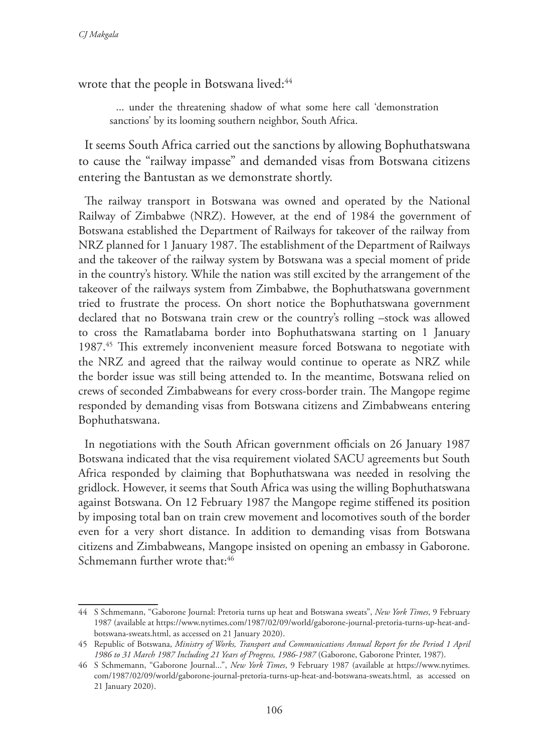wrote that the people in Botswana lived:<sup>44</sup>

... under the threatening shadow of what some here call 'demonstration sanctions' by its looming southern neighbor, South Africa.

It seems South Africa carried out the sanctions by allowing Bophuthatswana to cause the "railway impasse" and demanded visas from Botswana citizens entering the Bantustan as we demonstrate shortly.

The railway transport in Botswana was owned and operated by the National Railway of Zimbabwe (NRZ). However, at the end of 1984 the government of Botswana established the Department of Railways for takeover of the railway from NRZ planned for 1 January 1987. The establishment of the Department of Railways and the takeover of the railway system by Botswana was a special moment of pride in the country's history. While the nation was still excited by the arrangement of the takeover of the railways system from Zimbabwe, the Bophuthatswana government tried to frustrate the process. On short notice the Bophuthatswana government declared that no Botswana train crew or the country's rolling –stock was allowed to cross the Ramatlabama border into Bophuthatswana starting on 1 January 1987.45 This extremely inconvenient measure forced Botswana to negotiate with the NRZ and agreed that the railway would continue to operate as NRZ while the border issue was still being attended to. In the meantime, Botswana relied on crews of seconded Zimbabweans for every cross-border train. The Mangope regime responded by demanding visas from Botswana citizens and Zimbabweans entering Bophuthatswana.

In negotiations with the South African government officials on 26 January 1987 Botswana indicated that the visa requirement violated SACU agreements but South Africa responded by claiming that Bophuthatswana was needed in resolving the gridlock. However, it seems that South Africa was using the willing Bophuthatswana against Botswana. On 12 February 1987 the Mangope regime stiffened its position by imposing total ban on train crew movement and locomotives south of the border even for a very short distance. In addition to demanding visas from Botswana citizens and Zimbabweans, Mangope insisted on opening an embassy in Gaborone. Schmemann further wrote that:46

<sup>44</sup> S Schmemann, "Gaborone Journal: Pretoria turns up heat and Botswana sweats", *New York Times*, 9 February 1987 (available at https://www.nytimes.com/1987/02/09/world/gaborone-journal-pretoria-turns-up-heat-andbotswana-sweats.html, as accessed on 21 January 2020).

<sup>45</sup> Republic of Botswana, *Ministry of Works, Transport and Communications Annual Report for the Period 1 April 1986 to 31 March 1987 Including 21 Years of Progress, 1986-1987* (Gaborone, Gaborone Printer, 1987).

<sup>46</sup> S Schmemann, "Gaborone Journal...", *New York Times*, 9 February 1987 (available at https://www.nytimes. com/1987/02/09/world/gaborone-journal-pretoria-turns-up-heat-and-botswana-sweats.html, as accessed on 21 January 2020).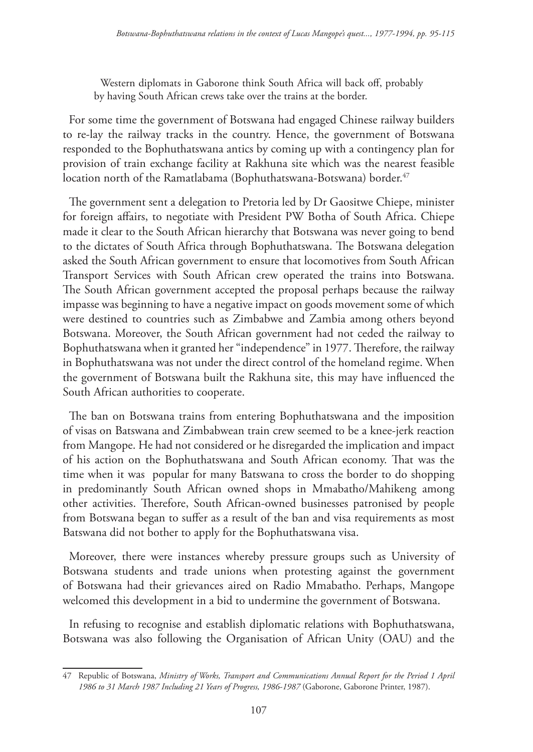Western diplomats in Gaborone think South Africa will back off, probably by having South African crews take over the trains at the border.

For some time the government of Botswana had engaged Chinese railway builders to re-lay the railway tracks in the country. Hence, the government of Botswana responded to the Bophuthatswana antics by coming up with a contingency plan for provision of train exchange facility at Rakhuna site which was the nearest feasible location north of the Ramatlabama (Bophuthatswana-Botswana) border.<sup>47</sup>

The government sent a delegation to Pretoria led by Dr Gaositwe Chiepe, minister for foreign affairs, to negotiate with President PW Botha of South Africa. Chiepe made it clear to the South African hierarchy that Botswana was never going to bend to the dictates of South Africa through Bophuthatswana. The Botswana delegation asked the South African government to ensure that locomotives from South African Transport Services with South African crew operated the trains into Botswana. The South African government accepted the proposal perhaps because the railway impasse was beginning to have a negative impact on goods movement some of which were destined to countries such as Zimbabwe and Zambia among others beyond Botswana. Moreover, the South African government had not ceded the railway to Bophuthatswana when it granted her "independence" in 1977. Therefore, the railway in Bophuthatswana was not under the direct control of the homeland regime. When the government of Botswana built the Rakhuna site, this may have influenced the South African authorities to cooperate.

The ban on Botswana trains from entering Bophuthatswana and the imposition of visas on Batswana and Zimbabwean train crew seemed to be a knee-jerk reaction from Mangope. He had not considered or he disregarded the implication and impact of his action on the Bophuthatswana and South African economy. That was the time when it was popular for many Batswana to cross the border to do shopping in predominantly South African owned shops in Mmabatho/Mahikeng among other activities. Therefore, South African-owned businesses patronised by people from Botswana began to suffer as a result of the ban and visa requirements as most Batswana did not bother to apply for the Bophuthatswana visa.

Moreover, there were instances whereby pressure groups such as University of Botswana students and trade unions when protesting against the government of Botswana had their grievances aired on Radio Mmabatho. Perhaps, Mangope welcomed this development in a bid to undermine the government of Botswana.

In refusing to recognise and establish diplomatic relations with Bophuthatswana, Botswana was also following the Organisation of African Unity (OAU) and the

<sup>47</sup> Republic of Botswana, *Ministry of Works, Transport and Communications Annual Report for the Period 1 April 1986 to 31 March 1987 Including 21 Years of Progress, 1986-1987* (Gaborone, Gaborone Printer, 1987).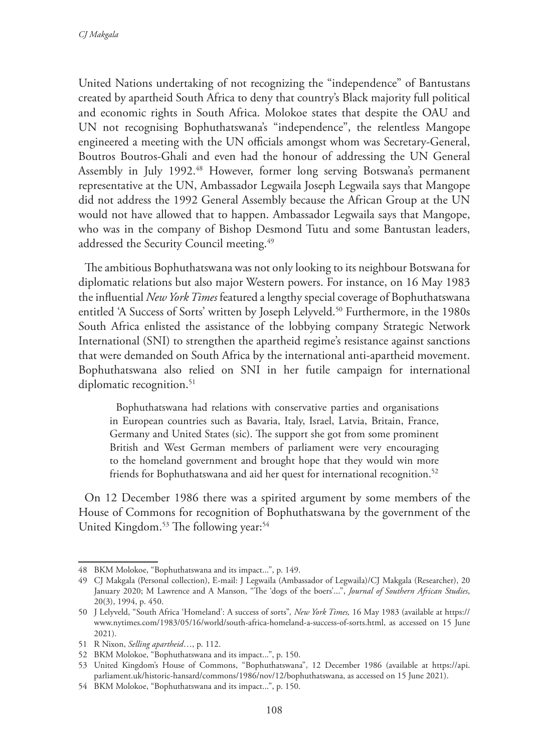United Nations undertaking of not recognizing the "independence" of Bantustans created by apartheid South Africa to deny that country's Black majority full political and economic rights in South Africa. Molokoe states that despite the OAU and UN not recognising Bophuthatswana's "independence", the relentless Mangope engineered a meeting with the UN officials amongst whom was Secretary-General, Boutros Boutros-Ghali and even had the honour of addressing the UN General Assembly in July 1992.<sup>48</sup> However, former long serving Botswana's permanent representative at the UN, Ambassador Legwaila Joseph Legwaila says that Mangope did not address the 1992 General Assembly because the African Group at the UN would not have allowed that to happen. Ambassador Legwaila says that Mangope, who was in the company of Bishop Desmond Tutu and some Bantustan leaders, addressed the Security Council meeting.<sup>49</sup>

The ambitious Bophuthatswana was not only looking to its neighbour Botswana for diplomatic relations but also major Western powers. For instance, on 16 May 1983 the influential *New York Times* featured a lengthy special coverage of Bophuthatswana entitled 'A Success of Sorts' written by Joseph Lelyveld.<sup>50</sup> Furthermore, in the 1980s South Africa enlisted the assistance of the lobbying company Strategic Network International (SNI) to strengthen the apartheid regime's resistance against sanctions that were demanded on South Africa by the international anti-apartheid movement. Bophuthatswana also relied on SNI in her futile campaign for international diplomatic recognition.<sup>51</sup>

Bophuthatswana had relations with conservative parties and organisations in European countries such as Bavaria, Italy, Israel, Latvia, Britain, France, Germany and United States (sic). The support she got from some prominent British and West German members of parliament were very encouraging to the homeland government and brought hope that they would win more friends for Bophuthatswana and aid her quest for international recognition.<sup>52</sup>

On 12 December 1986 there was a spirited argument by some members of the House of Commons for recognition of Bophuthatswana by the government of the United Kingdom.<sup>53</sup> The following year:<sup>54</sup>

<sup>48</sup> BKM Molokoe, "Bophuthatswana and its impact...", p. 149.

<sup>49</sup> CJ Makgala (Personal collection), E-mail: J Legwaila (Ambassador of Legwaila)/CJ Makgala (Researcher), 20 January 2020; M Lawrence and A Manson, "The 'dogs of the boers'...", *Journal of Southern African Studies*, 20(3), 1994, p. 450.

<sup>50</sup> J Lelyveld, "South Africa 'Homeland': A success of sorts"*, New York Times,* 16 May 1983 (available at https:// www.nytimes.com/1983/05/16/world/south-africa-homeland-a-success-of-sorts.html, as accessed on 15 June 2021).

<sup>51</sup> R Nixon, *Selling apartheid*…, p. 112.

<sup>52</sup> BKM Molokoe, "Bophuthatswana and its impact...", p. 150.

<sup>53</sup> United Kingdom's House of Commons, "Bophuthatswana", 12 December 1986 (available at https://api. parliament.uk/historic-hansard/commons/1986/nov/12/bophuthatswana, as accessed on 15 June 2021).

<sup>54</sup> BKM Molokoe, "Bophuthatswana and its impact...", p. 150.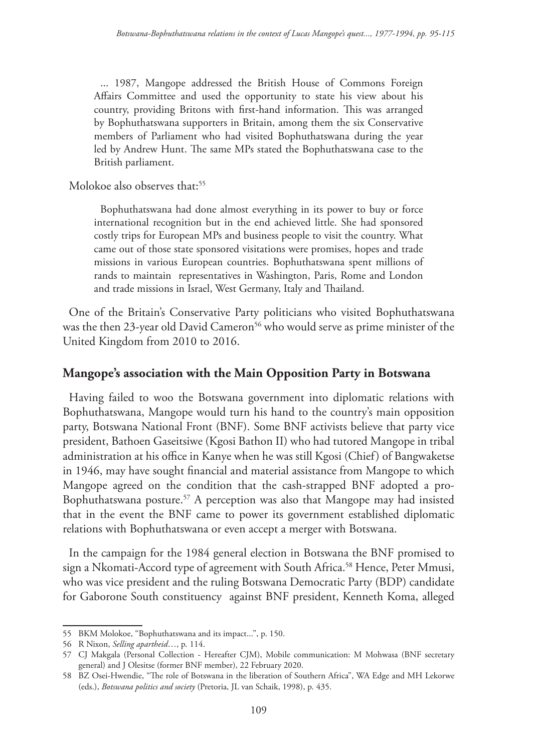... 1987, Mangope addressed the British House of Commons Foreign Affairs Committee and used the opportunity to state his view about his country, providing Britons with first-hand information. This was arranged by Bophuthatswana supporters in Britain, among them the six Conservative members of Parliament who had visited Bophuthatswana during the year led by Andrew Hunt. The same MPs stated the Bophuthatswana case to the British parliament.

Molokoe also observes that:<sup>55</sup>

Bophuthatswana had done almost everything in its power to buy or force international recognition but in the end achieved little. She had sponsored costly trips for European MPs and business people to visit the country. What came out of those state sponsored visitations were promises, hopes and trade missions in various European countries. Bophuthatswana spent millions of rands to maintain representatives in Washington, Paris, Rome and London and trade missions in Israel, West Germany, Italy and Thailand.

One of the Britain's Conservative Party politicians who visited Bophuthatswana was the then 23-year old David Cameron<sup>56</sup> who would serve as prime minister of the United Kingdom from 2010 to 2016.

### **Mangope's association with the Main Opposition Party in Botswana**

Having failed to woo the Botswana government into diplomatic relations with Bophuthatswana, Mangope would turn his hand to the country's main opposition party, Botswana National Front (BNF). Some BNF activists believe that party vice president, Bathoen Gaseitsiwe (Kgosi Bathon II) who had tutored Mangope in tribal administration at his office in Kanye when he was still Kgosi (Chief) of Bangwaketse in 1946, may have sought financial and material assistance from Mangope to which Mangope agreed on the condition that the cash-strapped BNF adopted a pro-Bophuthatswana posture.57 A perception was also that Mangope may had insisted that in the event the BNF came to power its government established diplomatic relations with Bophuthatswana or even accept a merger with Botswana.

In the campaign for the 1984 general election in Botswana the BNF promised to sign a Nkomati-Accord type of agreement with South Africa.<sup>58</sup> Hence, Peter Mmusi, who was vice president and the ruling Botswana Democratic Party (BDP) candidate for Gaborone South constituency against BNF president, Kenneth Koma, alleged

<sup>55</sup> BKM Molokoe, "Bophuthatswana and its impact...", p. 150.

<sup>56</sup> R Nixon, *Selling apartheid*…, p. 114.

<sup>57</sup> CJ Makgala (Personal Collection - Hereafter CJM), Mobile communication: M Mohwasa (BNF secretary general) and J Olesitse (former BNF member), 22 February 2020.

<sup>58</sup> BZ Osei-Hwendie, "The role of Botswana in the liberation of Southern Africa", WA Edge and MH Lekorwe (eds.), *Botswana politics and society* (Pretoria, JL van Schaik, 1998), p. 435.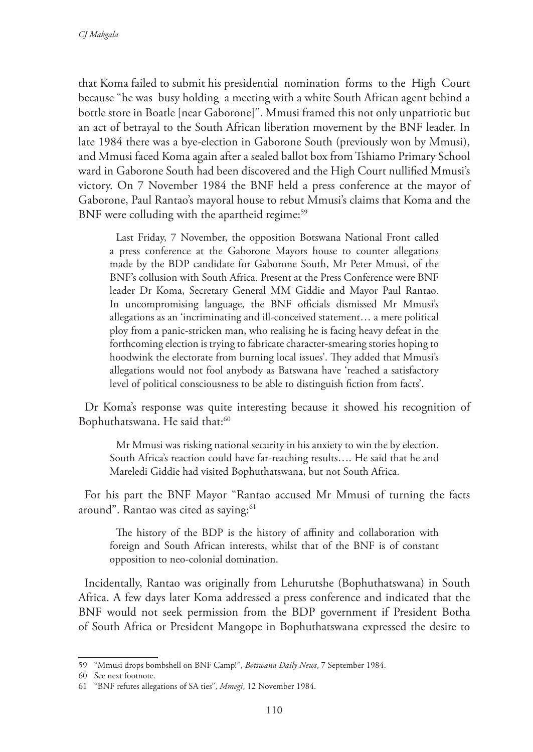that Koma failed to submit his presidential nomination forms to the High Court because "he was busy holding a meeting with a white South African agent behind a bottle store in Boatle [near Gaborone]". Mmusi framed this not only unpatriotic but an act of betrayal to the South African liberation movement by the BNF leader. In late 1984 there was a bye-election in Gaborone South (previously won by Mmusi), and Mmusi faced Koma again after a sealed ballot box from Tshiamo Primary School ward in Gaborone South had been discovered and the High Court nullified Mmusi's victory. On 7 November 1984 the BNF held a press conference at the mayor of Gaborone, Paul Rantao's mayoral house to rebut Mmusi's claims that Koma and the BNF were colluding with the apartheid regime:<sup>59</sup>

Last Friday, 7 November, the opposition Botswana National Front called a press conference at the Gaborone Mayors house to counter allegations made by the BDP candidate for Gaborone South, Mr Peter Mmusi, of the BNF's collusion with South Africa. Present at the Press Conference were BNF leader Dr Koma, Secretary General MM Giddie and Mayor Paul Rantao. In uncompromising language, the BNF officials dismissed Mr Mmusi's allegations as an 'incriminating and ill-conceived statement… a mere political ploy from a panic-stricken man, who realising he is facing heavy defeat in the forthcoming election is trying to fabricate character-smearing stories hoping to hoodwink the electorate from burning local issues'. They added that Mmusi's allegations would not fool anybody as Batswana have 'reached a satisfactory level of political consciousness to be able to distinguish fiction from facts'.

Dr Koma's response was quite interesting because it showed his recognition of Bophuthatswana. He said that:<sup>60</sup>

Mr Mmusi was risking national security in his anxiety to win the by election. South Africa's reaction could have far-reaching results…. He said that he and Mareledi Giddie had visited Bophuthatswana, but not South Africa.

For his part the BNF Mayor "Rantao accused Mr Mmusi of turning the facts around". Rantao was cited as saying:<sup>61</sup>

The history of the BDP is the history of affinity and collaboration with foreign and South African interests, whilst that of the BNF is of constant opposition to neo-colonial domination.

Incidentally, Rantao was originally from Lehurutshe (Bophuthatswana) in South Africa. A few days later Koma addressed a press conference and indicated that the BNF would not seek permission from the BDP government if President Botha of South Africa or President Mangope in Bophuthatswana expressed the desire to

<sup>59</sup> "Mmusi drops bombshell on BNF Camp!", *Botswana Daily News*, 7 September 1984.

<sup>60</sup> See next footnote.

<sup>61</sup> "BNF refutes allegations of SA ties", *Mmegi*, 12 November 1984.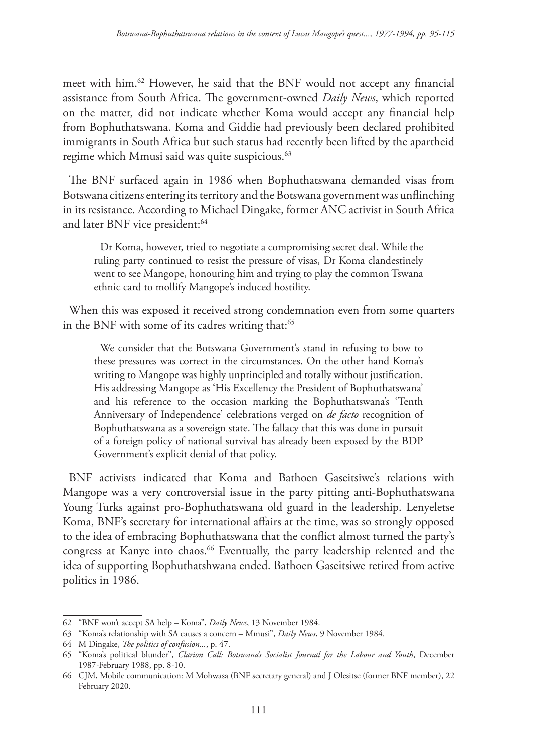meet with him.62 However, he said that the BNF would not accept any financial assistance from South Africa. The government-owned *Daily News*, which reported on the matter, did not indicate whether Koma would accept any financial help from Bophuthatswana. Koma and Giddie had previously been declared prohibited immigrants in South Africa but such status had recently been lifted by the apartheid regime which Mmusi said was quite suspicious.<sup>63</sup>

The BNF surfaced again in 1986 when Bophuthatswana demanded visas from Botswana citizens entering its territory and the Botswana government was unflinching in its resistance. According to Michael Dingake, former ANC activist in South Africa and later BNF vice president:<sup>64</sup>

Dr Koma, however, tried to negotiate a compromising secret deal. While the ruling party continued to resist the pressure of visas, Dr Koma clandestinely went to see Mangope, honouring him and trying to play the common Tswana ethnic card to mollify Mangope's induced hostility.

When this was exposed it received strong condemnation even from some quarters in the BNF with some of its cadres writing that:<sup>65</sup>

We consider that the Botswana Government's stand in refusing to bow to these pressures was correct in the circumstances. On the other hand Koma's writing to Mangope was highly unprincipled and totally without justification. His addressing Mangope as 'His Excellency the President of Bophuthatswana' and his reference to the occasion marking the Bophuthatswana's 'Tenth Anniversary of Independence' celebrations verged on *de facto* recognition of Bophuthatswana as a sovereign state. The fallacy that this was done in pursuit of a foreign policy of national survival has already been exposed by the BDP Government's explicit denial of that policy.

BNF activists indicated that Koma and Bathoen Gaseitsiwe's relations with Mangope was a very controversial issue in the party pitting anti-Bophuthatswana Young Turks against pro-Bophuthatswana old guard in the leadership. Lenyeletse Koma, BNF's secretary for international affairs at the time, was so strongly opposed to the idea of embracing Bophuthatswana that the conflict almost turned the party's congress at Kanye into chaos.<sup>66</sup> Eventually, the party leadership relented and the idea of supporting Bophuthatshwana ended. Bathoen Gaseitsiwe retired from active politics in 1986.

<sup>62</sup> "BNF won't accept SA help – Koma", *Daily News*, 13 November 1984.

<sup>63</sup> "Koma's relationship with SA causes a concern – Mmusi", *Daily News*, 9 November 1984.

<sup>64</sup> M Dingake, *The politics of confusion...*, p. 47.

<sup>65</sup> "Koma's political blunder", *Clarion Call: Botswana's Socialist Journal for the Labour and Youth*, December 1987-February 1988, pp. 8-10.

<sup>66</sup> CJM, Mobile communication: M Mohwasa (BNF secretary general) and J Olesitse (former BNF member), 22 February 2020.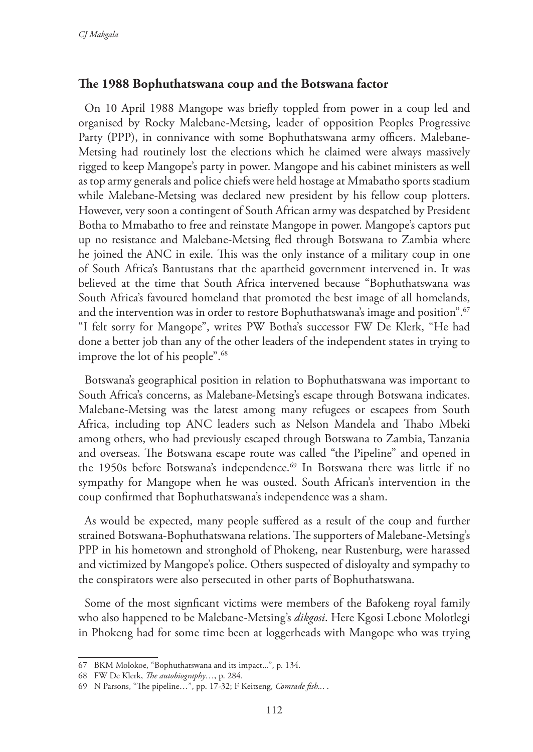### **The 1988 Bophuthatswana coup and the Botswana factor**

On 10 April 1988 Mangope was briefly toppled from power in a coup led and organised by Rocky Malebane-Metsing, leader of opposition Peoples Progressive Party (PPP), in connivance with some Bophuthatswana army officers. Malebane-Metsing had routinely lost the elections which he claimed were always massively rigged to keep Mangope's party in power. Mangope and his cabinet ministers as well as top army generals and police chiefs were held hostage at Mmabatho sports stadium while Malebane-Metsing was declared new president by his fellow coup plotters. However, very soon a contingent of South African army was despatched by President Botha to Mmabatho to free and reinstate Mangope in power. Mangope's captors put up no resistance and Malebane-Metsing fled through Botswana to Zambia where he joined the ANC in exile. This was the only instance of a military coup in one of South Africa's Bantustans that the apartheid government intervened in. It was believed at the time that South Africa intervened because "Bophuthatswana was South Africa's favoured homeland that promoted the best image of all homelands, and the intervention was in order to restore Bophuthatswana's image and position".67 "I felt sorry for Mangope", writes PW Botha's successor FW De Klerk, "He had done a better job than any of the other leaders of the independent states in trying to improve the lot of his people".<sup>68</sup>

Botswana's geographical position in relation to Bophuthatswana was important to South Africa's concerns, as Malebane-Metsing's escape through Botswana indicates. Malebane-Metsing was the latest among many refugees or escapees from South Africa, including top ANC leaders such as Nelson Mandela and Thabo Mbeki among others, who had previously escaped through Botswana to Zambia, Tanzania and overseas. The Botswana escape route was called "the Pipeline" and opened in the 1950s before Botswana's independence.<sup>69</sup> In Botswana there was little if no sympathy for Mangope when he was ousted. South African's intervention in the coup confirmed that Bophuthatswana's independence was a sham.

As would be expected, many people suffered as a result of the coup and further strained Botswana-Bophuthatswana relations. The supporters of Malebane-Metsing's PPP in his hometown and stronghold of Phokeng, near Rustenburg, were harassed and victimized by Mangope's police. Others suspected of disloyalty and sympathy to the conspirators were also persecuted in other parts of Bophuthatswana.

Some of the most signficant victims were members of the Bafokeng royal family who also happened to be Malebane-Metsing's *dikgosi*. Here Kgosi Lebone Molotlegi in Phokeng had for some time been at loggerheads with Mangope who was trying

<sup>67</sup> BKM Molokoe, "Bophuthatswana and its impact...", p. 134.

<sup>68</sup> FW De Klerk, *The autobiography…*, p. 284.

<sup>69</sup> N Parsons, "The pipeline…", pp. 17-32; F Keitseng, *Comrade fish..*. .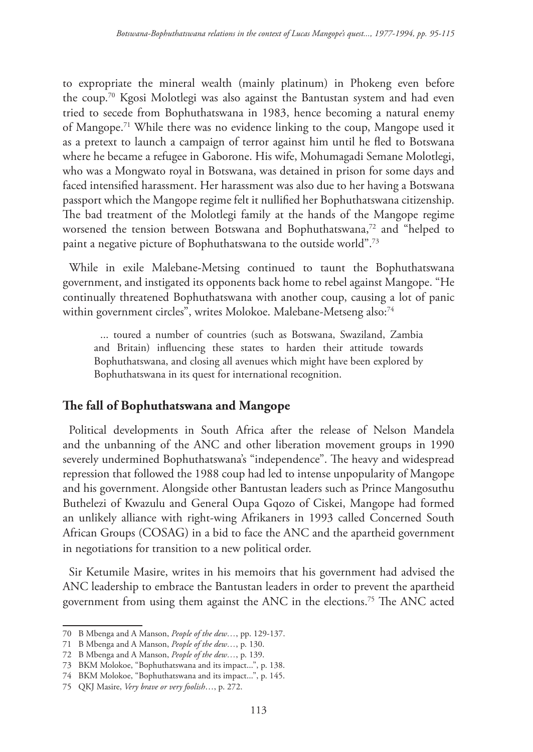to expropriate the mineral wealth (mainly platinum) in Phokeng even before the coup.70 Kgosi Molotlegi was also against the Bantustan system and had even tried to secede from Bophuthatswana in 1983, hence becoming a natural enemy of Mangope.71 While there was no evidence linking to the coup, Mangope used it as a pretext to launch a campaign of terror against him until he fled to Botswana where he became a refugee in Gaborone. His wife, Mohumagadi Semane Molotlegi, who was a Mongwato royal in Botswana, was detained in prison for some days and faced intensified harassment. Her harassment was also due to her having a Botswana passport which the Mangope regime felt it nullified her Bophuthatswana citizenship. The bad treatment of the Molotlegi family at the hands of the Mangope regime worsened the tension between Botswana and Bophuthatswana,<sup>72</sup> and "helped to paint a negative picture of Bophuthatswana to the outside world".73

While in exile Malebane-Metsing continued to taunt the Bophuthatswana government, and instigated its opponents back home to rebel against Mangope. "He continually threatened Bophuthatswana with another coup, causing a lot of panic within government circles", writes Molokoe. Malebane-Metseng also:<sup>74</sup>

... toured a number of countries (such as Botswana, Swaziland, Zambia and Britain) influencing these states to harden their attitude towards Bophuthatswana, and closing all avenues which might have been explored by Bophuthatswana in its quest for international recognition.

## **The fall of Bophuthatswana and Mangope**

Political developments in South Africa after the release of Nelson Mandela and the unbanning of the ANC and other liberation movement groups in 1990 severely undermined Bophuthatswana's "independence". The heavy and widespread repression that followed the 1988 coup had led to intense unpopularity of Mangope and his government. Alongside other Bantustan leaders such as Prince Mangosuthu Buthelezi of Kwazulu and General Oupa Gqozo of Ciskei, Mangope had formed an unlikely alliance with right-wing Afrikaners in 1993 called Concerned South African Groups (COSAG) in a bid to face the ANC and the apartheid government in negotiations for transition to a new political order.

Sir Ketumile Masire, writes in his memoirs that his government had advised the ANC leadership to embrace the Bantustan leaders in order to prevent the apartheid government from using them against the ANC in the elections.75 The ANC acted

<sup>70</sup> B Mbenga and A Manson, *People of the dew…*, pp. 129-137.

<sup>71</sup> B Mbenga and A Manson, *People of the dew…*, p. 130.

<sup>72</sup> B Mbenga and A Manson, *People of the dew…*, p. 139.

<sup>73</sup> BKM Molokoe, "Bophuthatswana and its impact...", p. 138.

<sup>74</sup> BKM Molokoe, "Bophuthatswana and its impact...", p. 145.

<sup>75</sup> QKJ Masire, *Very brave or very foolish*…, p. 272.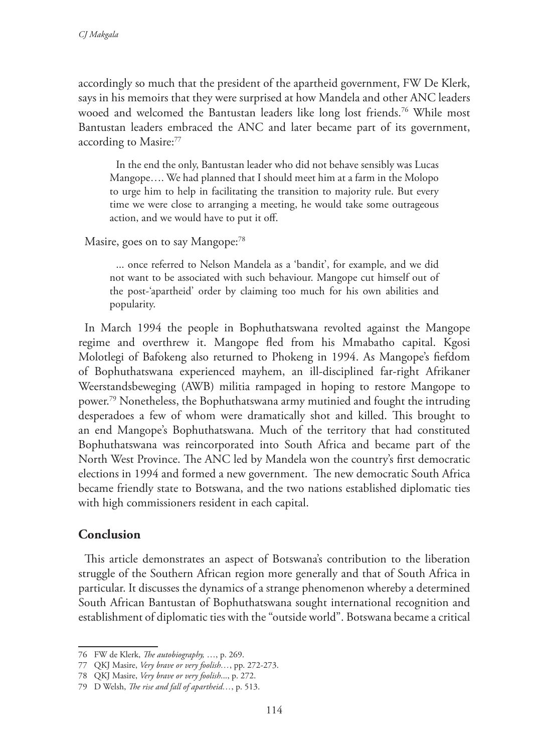accordingly so much that the president of the apartheid government, FW De Klerk, says in his memoirs that they were surprised at how Mandela and other ANC leaders wooed and welcomed the Bantustan leaders like long lost friends.76 While most Bantustan leaders embraced the ANC and later became part of its government, according to Masire:77

In the end the only, Bantustan leader who did not behave sensibly was Lucas Mangope…. We had planned that I should meet him at a farm in the Molopo to urge him to help in facilitating the transition to majority rule. But every time we were close to arranging a meeting, he would take some outrageous action, and we would have to put it off.

Masire, goes on to say Mangope:<sup>78</sup>

... once referred to Nelson Mandela as a 'bandit', for example, and we did not want to be associated with such behaviour. Mangope cut himself out of the post-'apartheid' order by claiming too much for his own abilities and popularity.

In March 1994 the people in Bophuthatswana revolted against the Mangope regime and overthrew it. Mangope fled from his Mmabatho capital. Kgosi Molotlegi of Bafokeng also returned to Phokeng in 1994. As Mangope's fiefdom of Bophuthatswana experienced mayhem, an ill-disciplined far-right Afrikaner Weerstandsbeweging (AWB) militia rampaged in hoping to restore Mangope to power.79 Nonetheless, the Bophuthatswana army mutinied and fought the intruding desperadoes a few of whom were dramatically shot and killed. This brought to an end Mangope's Bophuthatswana. Much of the territory that had constituted Bophuthatswana was reincorporated into South Africa and became part of the North West Province. The ANC led by Mandela won the country's first democratic elections in 1994 and formed a new government. The new democratic South Africa became friendly state to Botswana, and the two nations established diplomatic ties with high commissioners resident in each capital.

### **Conclusion**

This article demonstrates an aspect of Botswana's contribution to the liberation struggle of the Southern African region more generally and that of South Africa in particular. It discusses the dynamics of a strange phenomenon whereby a determined South African Bantustan of Bophuthatswana sought international recognition and establishment of diplomatic ties with the "outside world". Botswana became a critical

<sup>76</sup> FW de Klerk, *The autobiography,* …, p. 269.

<sup>77</sup> QKJ Masire, *Very brave or very foolish…*, pp. 272-273.

<sup>78</sup> QKJ Masire, *Very brave or very foolish*..., p. 272.

<sup>79</sup> D Welsh, *The rise and fall of apartheid…*, p. 513.